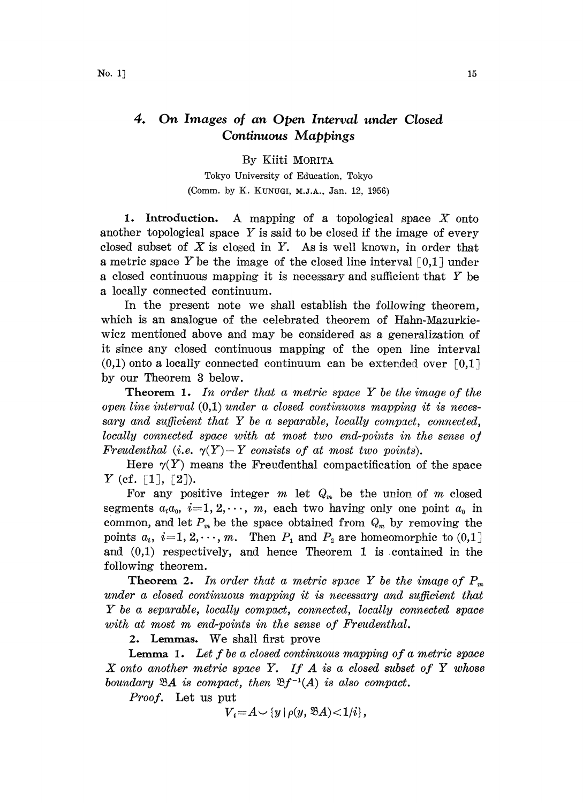## 4. On Images of an Open Interval under Closed Continuous Mappings

## By Kiiti MORITA

Tokyo University of Edueation, Tokyo (Comm. by K. KUNUGI, M.J.A., Jan. 12, 1956)

1. Introduction. A mapping of a topological space  $X$  onto another topological space  $Y$  is said to be closed if the image of every closed subset of  $X$  is closed in  $Y$ . As is well known, in order that a metric space Y be the image of the closed line interval  $\lceil 0,1 \rceil$  under <sup>a</sup> closed continuous mapping it is necessary and sufficient that Y be a locally connected continuum.

In the present note we shall establish the following theorem, which is an analogue of the celebrated theorem of Hahn-Mazurkiewicz mentioned above and may be considered as a generalization of it since any closed continuous mapping of the open line interval  $(0,1)$  onto a locally connected continuum can be extended over [0,1] by our Theorem 3 below.

**Theorem 1.** In order that a metric space Y be the image of the open line interval  $(0,1)$  under a closed continuous mapping it is necessary and sufficient that  $Y$  be a separable, locally compact, connected,  $locally$  connected space with at most two end-points in the sense of Freudenthal (i.e.  $\gamma(Y) - Y$  consists of at most two points).

Here  $\gamma(Y)$  means the Freudenthal compactification of the space  $Y$  (cf. [1], [2]).

For any positive integer  $m$  let  $Q_m$  be the union of  $m$  closed segments  $a_i a_0$ ,  $i=1, 2, \dots, m$ , each two having only one point  $a_0$  in common, and let  $P_m$  be the space obtained from  $Q_m$  by removing the points  $a_i$ ,  $i=1, 2, \dots, m$ . Then  $P_1$  and  $P_2$  are homeomorphic to  $(0,1]$ and  $(0,1)$  respectively, and hence Theorem 1 is contained in the following theorem.

**Theorem 2.** In order that a metric space Y be the image of  $P_m$ under a closed continuous mapping it is necessary and sufficient that  $Y$  be a separable, locally compact, connected, locally connected space with at most m end-points in the sense of Freudenthal.

2. Lemmas. We shall first prove

**Lemma 1.** Let f be a closed continuous mapping of a metric space X onto another metric space Y. If  $A$  is a closed subset of Y whose boundary  $\mathfrak{B}A$  is compact, then  $\mathfrak{B}f^{-1}(A)$  is also compact.

Proof. Let us put

$$
V_i = A \cup \{y \mid \rho(y, \mathfrak{B} A) < 1/i\},\
$$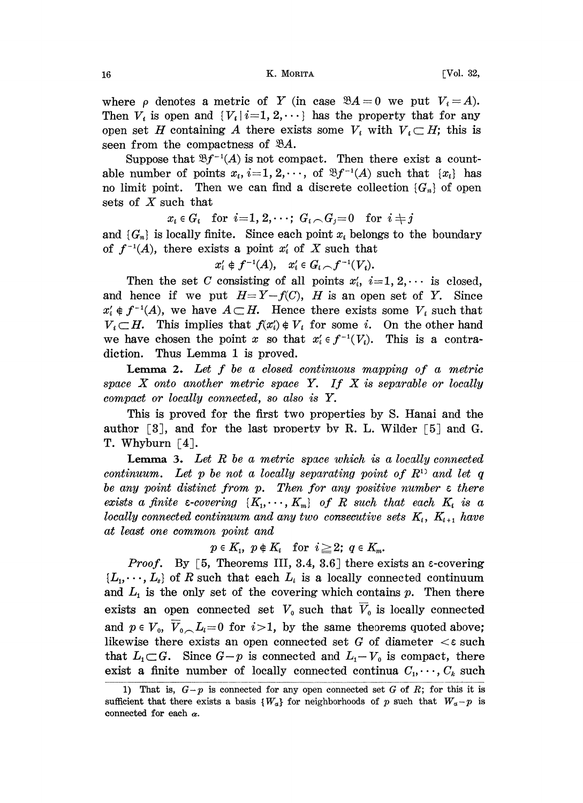where  $\rho$  denotes a metric of Y (in case  $\mathfrak{B}A=0$  we put  $V_i=A$ ). Then  $V_i$  is open and  $\{V_i\mid i=1, 2, \cdots\}$  has the property that for any open set H containing A there exists some  $V_i$  with  $V_i \subset H$ ; this is seen from the compactness of  $\mathcal{B}A$ .

Suppose that  $\mathfrak{B}f^{-1}(A)$  is not compact. Then there exist a countable number of points  $x_i$ ,  $i=1, 2, \dots$ , of  $\mathcal{B}f^{-1}(A)$  such that  $\{x_i\}$  has no limit point. Then we can find a discrete collection  $\{G_n\}$  of open sets of  $X$  such that

 $x_i \in G_i$  for  $i=1, 2, \dots; G_i \cap G_j=0$  for  $i \neq j$ 

and  $\{G_n\}$  is locally finite. Since each point  $x_i$  belongs to the boundary of  $f^{-1}(A)$ , there exists a point  $x_i'$  of X such that

$$
x_i'\notin f^{-1}(A),\quad x_i'\in G_i\cap f^{-1}(V_i).
$$

Then the set C consisting of all points  $x_i$ ,  $i=1, 2, \cdots$  is closed, and hence if we put  $H=Y-f(C)$ , H is an open set of Y. Since  $x'_{i} \notin f^{-1}(A)$ , we have  $A \subset H$ . Hence there exists some  $V_{i}$  such that  $V_i \subset H$ . This implies that  $f(x_i') \notin V_i$  for some i. On the other hand we have chosen the point x so that  $x_i \in f^{-1}(V_i)$ . This is a contradiction. Thus Lemma <sup>1</sup> is proved.

**Lemma 2.** Let  $f$  be a closed continuous mapping of a metric space  $X$  onto another metric space  $Y$ . If  $X$  is separable or locally compact or locally connected, so also is Y.

This is proved for the first two properties by S. Hanai and the author  $\lceil 3 \rceil$ , and for the last property by R. L. Wilder  $\lceil 5 \rceil$  and G. T. Whyburn  $[4]$ .

**Lemma 3.** Let  $R$  be a metric space which is a locally connected continuum. Let p be not a locally separating point of  $R<sup>1</sup>$  and let q be any point distinct from  $p$ . Then for any positive number  $\varepsilon$  there exists a finite  $\varepsilon$ -covering  $\{K_1, \dots, K_m\}$  of R such that each  $K_i$  is a locally connected continuum and any two consecutive sets  $K_i$ ,  $K_{i+1}$  have at least one common point and

 $p \in K_i$ ,  $p \notin K_i$  for  $i \geq 2$ ;  $q \in K_m$ .

*Proof.* By [5, Theorems III, 3.4, 3.6] there exists an  $\epsilon$ -covering  $\{L_1, \dots, L_s\}$  of R such that each  $L_i$  is a locally connected continuum and  $L<sub>1</sub>$  is the only set of the covering which contains p. Then there exists an open connected set  $V_0$  such that  $\overline{V}_0$  is locally connected and  $p \in V_0$ ,  $\overline{V}_0 \setminus L_i = 0$  for  $i > 1$ , by the same theorems quoted above; likewise there exists an open connected set G of diameter  $\lt$  such that  $L_1 \subset G$ . Since  $G-p$  is connected and  $L_1-V_0$  is compact, there exist a finite number of locally connected continua  $C_1, \dots, C_k$  such

<sup>1)</sup> That is,  $G-p$  is connected for any open connected set G of R; for this it is sufficient that there exists a basis  $\{W_a\}$  for neighborhoods of p such that  $W_a-p$  is connected for each  $\alpha$ .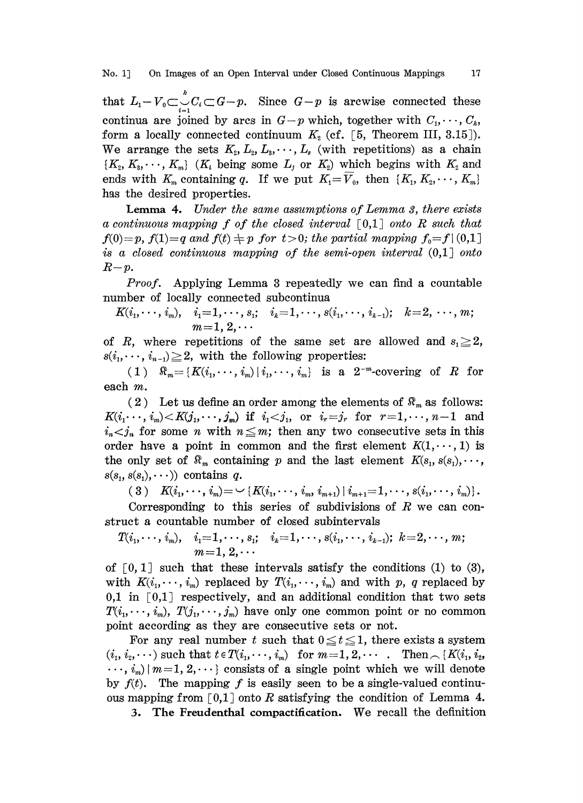that  $L_i - V_0 \subset \bigcup_{i=1}^k C_i \subset G - p$ . Since  $G - p$  is arcwise connected these continua are joined by arcs in  $G-p$  which, together with  $C_1, \dots, C_k$ form a locally connected continuum  $K_2$  (cf. [5, Theorem III, 3.15]). We arrange the sets  $K_2, L_2, L_3, \cdots, L_s$  (with repetitions) as a chain  $\{K_2, K_3, \dots, K_m\}$  (K<sub>i</sub> being some  $L_j$  or  $K_2$ ) which begins with  $K_2$  and ends with  $K_m$  containing q. If we put  $K_1=V_0$ , then  $\{K_1, K_2, \dots, K_m\}$ has the desired properties.

Lemma 4. Under the same assumptions of Lemma 3, there exists a continuous mapping f of the closed interval  $\lceil 0,1 \rceil$  onto R such that  $f(0)=p$ ,  $f(1)=q$  and  $f(t)\neq p$  for  $t>0$ ; the partial mapping  $f_0=f\, (0,1]$ is a closed continuous mapping of the semi-open interval (0,1] onto  $R-p$ .

Proof. Applying Lemma <sup>3</sup> repeatedly we can find <sup>a</sup> countable number of locally connected subcontinua

$$
K(i_1, \cdots, i_m), \quad i_1 = 1, \cdots, s_1; \quad i_k = 1, \cdots, s(i_1, \cdots, i_{k-1}); \quad k = 2, \cdots, m; \nm = 1, 2, \cdots
$$

of R, where repetitions of the same set are allowed and  $s_1 \geq 2$ ,  $s(i_1, \dots, i_{n-1}) \geq 2$ , with the following properties:

(1)  $\Re_m = \{K(i_1,\dots, i_m) | i_1,\dots, i_m\}$  is a  $2^{-m}$ -covering of R for each m.

(2) Let us define an order among the elements of  $\mathcal{R}_m$  as follows:  $K(i_1 \cdots, i_m) < K(j_1, \cdots, j_m)$  if  $i_1 < j_1$ , or  $i_r = j_r$  for  $r = 1, \cdots, n-1$  and  $i_n < j_n$  for some n with  $n \leq m$ ; then any two consecutive sets in this order have a point in common and the first element  $K(1,\dots,1)$  is the only set of  $\mathcal{R}_m$  containing p and the last element  $K(s_1, s(s_1), \cdots, s_m)$  $s(s_1, s(s_1), \dots)$  contains q.

 $(3) \quad K(i_1,\cdots,i_m)=\smash{\smash{\bigl\vert\!\!\!\bigr\vert\!\!\!\bigr\vert}}\, K(i_1,\cdots,i_m,i_{m+1})\,\vert\, i_{m+1}\!=\! 1,\cdots, s(i_1,\cdots,i_m)\rbrace\,.$ 

Corresponding to this series of subdivisions of R we can construct a countable number of closed subintervals

$$
T(i_1, \dots, i_m), \quad i_1 = 1, \dots, s_1; \quad i_k = 1, \dots, s(i_1, \dots, i_{k-1}); \ k = 2, \dots, m; \\
m = 1, 2, \dots
$$

of  $[0, 1]$  such that these intervals satisfy the conditions (1) to (3), with  $K(i_1,\dots, i_m)$  replaced by  $T(i_1,\dots, i_m)$  and with p, q replaced by 0,1 in  $\lceil 0,1 \rceil$  respectively, and an additional condition that two sets  $T(i_1,\dots, i_m)$ ,  $T(j_1,\dots, j_m)$  have only one common point or no common point according as they are consecutive sets or not.

For any real number t such that  $0 \le t \le 1$ , there exists a system  $(i_1, i_2, \dots)$  such that  $t \in T(i_1, \dots, i_m)$  for  $m=1, 2, \dots$ . Then  $\widehat{K}(i_1, i_2, \dots)$  $\cdots$ ,  $i_m$  |  $m=1, 2, \cdots$  consists of a single point which we will denote by  $f(t)$ . The mapping f is easily seen to be a single-valued continuous mapping from [0,1] onto R satisfying the condition of Lemma 4.

3. The Freudenthal compactification. We recall the definition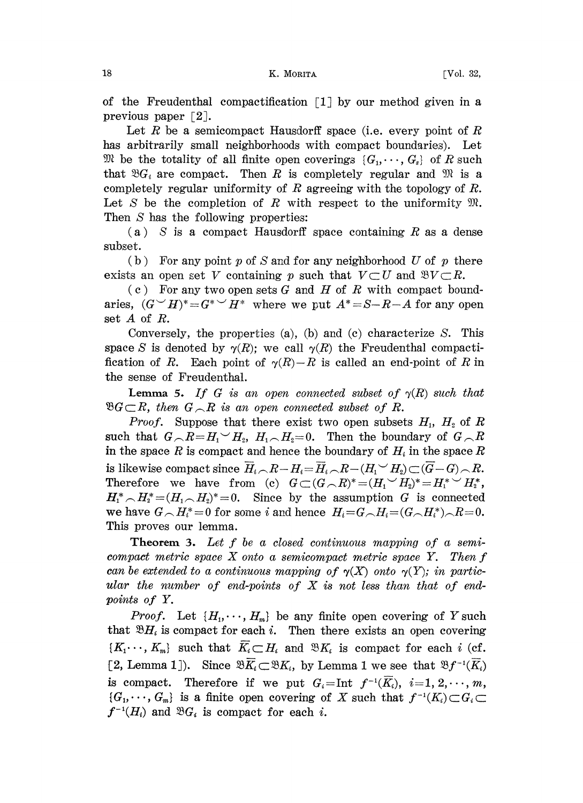of the Freudenthal compactification  $\lceil 1 \rceil$  by our method given in a previous paper  $\lceil 2 \rceil$ .

Let R be a semicompact Hausdorff space (i.e. every point of R has arbitrarily small neighborhoods with compact boundaries). Let We be the totality of all finite open coverings  $\{G_1, \dots, G_s\}$  of R such that  $\mathfrak{B}G_i$  are compact. Then R is completely regular and  $\mathfrak{M}$  is a completely regular uniformity of  $R$  agreeing with the topology of  $R$ . Let S be the completion of R with respect to the uniformity  $\mathfrak{M}$ . Then  $S$  has the following properties:

 $(a)$  S is a compact Hausdorff space containing R as a dense subset.

(b) For any point p of S and for any neighborhood U of p there exists an open set V containing p such that  $V\subset U$  and  $\mathfrak{B}V\subset R$ .

(c) For any two open sets G and H of R with compact boundaries,  $(G \vee H)^* = G^* \vee H^*$  where we put  $A^* = S - R - A$  for any open set A of R.

Conversely, the properties (a), (b) and (c) characterize  $S$ . This space S is denoted by  $\gamma(R)$ ; we call  $\gamma(R)$  the Freudenthal compactification of R. Each point of  $\gamma(R)-R$  is called an end-point of R in the sense of Freudenthal.

**Lemma 5.** If G is an open connected subset of  $\gamma(R)$  such that  $\mathfrak{B} G \subset R$ , then  $G \cap R$  is an open connected subset of R.

*Proof.* Suppose that there exist two open subsets  $H_1$ ,  $H_2$  of R such that  $G_{\text{in}}R = H_1 \sim H_2$ ,  $H_1 \sim H_2 = 0$ . Then the boundary of  $G_{\text{in}}R$ in the space R is compact and hence the boundary of  $H_i$  in the space R is likewise compact since  $\overline{H}_i \setminus R-H_i = \overline{H}_i \setminus R-(H_1 \setminus H_2) \subset (\overline{G}-G) \setminus R$ . Therefore we have from (c)  $G\subset (G\subset R)^*=(H_1\vee H_2)^*=H_1^*\vee H_2^*$ ,  $H_1^* \nightharpoonup H_2^* = (H_1 \nightharpoonup H_2)^* = 0$ . Since by the assumption G is connected we have  $G \setminus H_i^* = 0$  for some i and hence  $H_i = G \setminus H_i = (G \setminus H_i^*) \setminus R = 0$ . This proves our lemma.

**Theorem 3.** Let  $f$  be a closed continuous mapping of a semicompact metric space  $X$  onto a semicompact metric space  $Y$ . Then  $f$ can be extended to a continuous mapping of  $\gamma(X)$  onto  $\gamma(Y)$ ; in particular the number of end-points of  $X$  is not less than that of endpoints of Y.

*Proof.* Let  $\{H_1, \dots, H_m\}$  be any finite open covering of Y such that  $\mathfrak{B}H_i$  is compact for each i. Then there exists an open covering that  $\mathfrak{B}H_i$  is compact for each *i*. Then there exists an open covering  $\{K_1 \cdot \cdot \cdot, K_m\}$  such that  $\overline{K_i} \subset H_i$  and  $\mathfrak{B}K_i$  is compact for each *i* (cf. [2, Lemma 1]). Since  $\mathfrak{B}\overline{K_i} \subset \mathfrak{B}K_i$ , by Lemma 1 we see that  $\mathfrak{B}f^{-1}(\overline{K_i})$ is compact. Therefore if we put  $G_i=\text{Int } f^{-1}(\overline{K}_i), i=1,2,\cdots,m,$  $\{G_1,\dots,G_m\}$  is a finite open covering of X such that  $f^{-1}(K_i)\subset G_i\subset$  $f^{-1}(H_i)$  and  $\mathfrak{B}G_i$  is compact for each i.